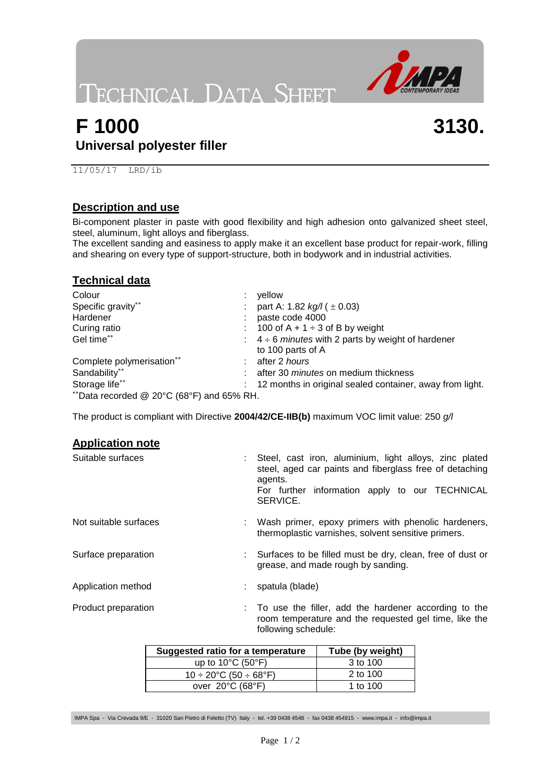**TECHNICAL DATA SHEET** 



**3130.**

## **F 1000 Universal polyester filler**

11/05/17 LRD/ib

#### **Description and use**

Bi-component plaster in paste with good flexibility and high adhesion onto galvanized sheet steel, steel, aluminum, light alloys and fiberglass.

The excellent sanding and easiness to apply make it an excellent base product for repair-work, filling and shearing on every type of support-structure, both in bodywork and in industrial activities.

### **Technical data**

| Colour                                    | yellow                                                         |
|-------------------------------------------|----------------------------------------------------------------|
| Specific gravity**                        | : part A: 1.82 $kg/l$ ( $\pm$ 0.03)                            |
| Hardener                                  | : paste code 4000                                              |
| Curing ratio                              | : 100 of $A + 1 \div 3$ of B by weight                         |
| Gel time**                                | $\div$ 4 ÷ 6 <i>minutes</i> with 2 parts by weight of hardener |
|                                           | to 100 parts of A                                              |
| Complete polymerisation**                 | : after 2 hours                                                |
| Sandability**                             | : after 30 <i>minutes</i> on medium thickness                  |
| Storage life**                            | : 12 months in original sealed container, away from light.     |
| **Data recorded @ 20°C (68°F) and 65% RH. |                                                                |

The product is compliant with Directive **2004/42/CE-IIB(b)** maximum VOC limit value: 250 *g/l*

#### **Application note**

| Suitable surfaces     | : Steel, cast iron, aluminium, light alloys, zinc plated<br>steel, aged car paints and fiberglass free of detaching<br>agents.<br>For further information apply to our TECHNICAL<br>SERVICE. |
|-----------------------|----------------------------------------------------------------------------------------------------------------------------------------------------------------------------------------------|
| Not suitable surfaces | : Wash primer, epoxy primers with phenolic hardeners,<br>thermoplastic varnishes, solvent sensitive primers.                                                                                 |
| Surface preparation   | : Surfaces to be filled must be dry, clean, free of dust or<br>grease, and made rough by sanding.                                                                                            |
| Application method    | : spatula (blade)                                                                                                                                                                            |
| Product preparation   | : To use the filler, add the hardener according to the<br>room temperature and the requested gel time, like the<br>following schedule:                                                       |

| Suggested ratio for a temperature               | Tube (by weight) |
|-------------------------------------------------|------------------|
| up to $10^{\circ}$ C (50 $^{\circ}$ F)          | 3 to 100         |
| $10 \div 20^{\circ}$ C (50 $\div 68^{\circ}$ F) | 2 to 100         |
| over $20^{\circ}$ C (68 $^{\circ}$ F)           | 1 to 100         |

IMPA Spa - Via Crevada 9/E - 31020 San Pietro di Feletto (TV) Italy - tel. +39 0438 4548 - fax 0438 454915 - [www.impa.it](http://www.impa.it/) - [info@impa.it](mailto:info@impa.it)